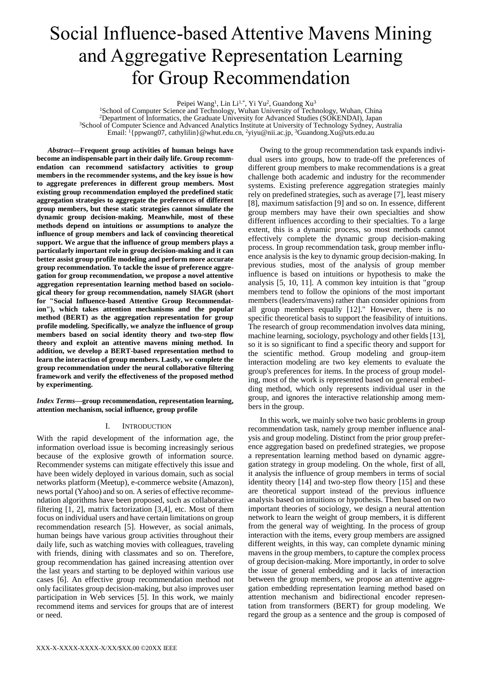# Social Influence-based Attentive Mavens Mining and Aggregative Representation Learning for Group Recommendation

Peipei Wang<sup>1</sup>, Lin Li<sup>1,\*</sup>, Yi Yu<sup>2</sup>, Guandong Xu<sup>3</sup>

<sup>1</sup>School of Computer Science and Technology, Wuhan University of Technology, Wuhan, China <sup>2</sup>Department of Informatics, the Graduate University for Advanced Studies (SOKENDAI), Japan <sup>3</sup>School of Computer Science and Advanced Analytics Institute at University of Technology Sydney, Australia Email: <sup>1</sup>{ppwang07, cathylilin}@whut.edu.cn, <sup>2</sup>yiyu@nii.ac.jp, <sup>3</sup>Guandong.Xu@uts.edu.au

*Abstract***—Frequent group activities of human beings have become an indispensable part in their daily life. Group recommendation can recommend satisfactory activities to group members in the recommender systems, and the key issue is how to aggregate preferences in different group members. Most existing group recommendation employed the predefined static aggregation strategies to aggregate the preferences of different group members, but these static strategies cannot simulate the dynamic group decision-making. Meanwhile, most of these methods depend on intuitions or assumptions to analyze the influence of group members and lack of convincing theoretical support. We argue that the influence of group members plays a particularly important role in group decision-making and it can better assist group profile modeling and perform more accurate group recommendation. To tackle the issue of preference aggregation for group recommendation, we propose a novel attentive aggregation representation learning method based on sociological theory for group recommendation, namely SIAGR (short for "Social Influence-based Attentive Group Recommendation"), which takes attention mechanisms and the popular method (BERT) as the aggregation representation for group profile modeling. Specifically, we analyze the influence of group members based on social identity theory and two-step flow theory and exploit an attentive mavens mining method. In addition, we develop a BERT-based representation method to learn the interaction of group members. Lastly, we complete the group recommendation under the neural collaborative filtering framework and verify the effectiveness of the proposed method by experimenting.**

*Index Terms—***group recommendation, representation learning, attention mechanism, social influence, group profile**

## I. INTRODUCTION

With the rapid development of the information age, the information overload issue is becoming increasingly serious because of the explosive growth of information source. Recommender systems can mitigate effectively this issue and have been widely deployed in various domain, such as social networks platform (Meetup), e-commerce website (Amazon), news portal (Yahoo) and so on. A series of effective recommendation algorithms have been proposed, such as collaborative filtering [1, 2], matrix factorization [3,4], etc. Most of them focus on individual users and have certain limitations on group recommendation research [5]. However, as social animals, human beings have various group activities throughout their daily life, such as watching movies with colleagues, traveling with friends, dining with classmates and so on. Therefore, group recommendation has gained increasing attention over the last years and starting to be deployed within various use cases [6]. An effective group recommendation method not only facilitates group decision-making, but also improves user participation in Web services [5]. In this work, we mainly recommend items and services for groups that are of interest or need.

Owing to the group recommendation task expands individual users into groups, how to trade-off the preferences of different group members to make recommendations is a great challenge both academic and industry for the recommender systems. Existing preference aggregation strategies mainly rely on predefined strategies, such as average [7], least misery [8], maximum satisfaction [9] and so on. In essence, different group members may have their own specialties and show different influences according to their specialties. To a large extent, this is a dynamic process, so most methods cannot effectively complete the dynamic group decision-making process. In group recommendation task, group member influence analysis is the key to dynamic group decision-making. In previous studies, most of the analysis of group member influence is based on intuitions or hypothesis to make the analysis [5, 10, 11]. A common key intuition is that "group members tend to follow the opinions of the most important members (leaders/mavens) rather than consider opinions from all group members equally [12]." However, there is no specific theoretical basis to support the feasibility of intuitions. The research of group recommendation involves data mining, machine learning, sociology, psychology and other fields [13], so it is so significant to find a specific theory and support for the scientific method. Group modeling and group-item interaction modeling are two key elements to evaluate the group's preferences for items. In the process of group modeling, most of the work is represented based on general embedding method, which only represents individual user in the group, and ignores the interactive relationship among members in the group.

In this work, we mainly solve two basic problems in group recommendation task, namely group member influence analysis and group modeling. Distinct from the prior group preference aggregation based on predefined strategies, we propose a representation learning method based on dynamic aggregation strategy in group modeling. On the whole, first of all, it analysis the influence of group members in terms of social identity theory [14] and two-step flow theory [15] and these are theoretical support instead of the previous influence analysis based on intuitions or hypothesis. Then based on two important theories of sociology, we design a neural attention network to learn the weight of group members, it is different from the general way of weighting. In the process of group interaction with the items, every group members are assigned different weights, in this way, can complete dynamic mining mavens in the group members, to capture the complex process of group decision-making. More importantly, in order to solve the issue of general embedding and it lacks of interaction between the group members, we propose an attentive aggregation embedding representation learning method based on attention mechanism and bidirectional encoder representation from transformers (BERT) for group modeling. We regard the group as a sentence and the group is composed of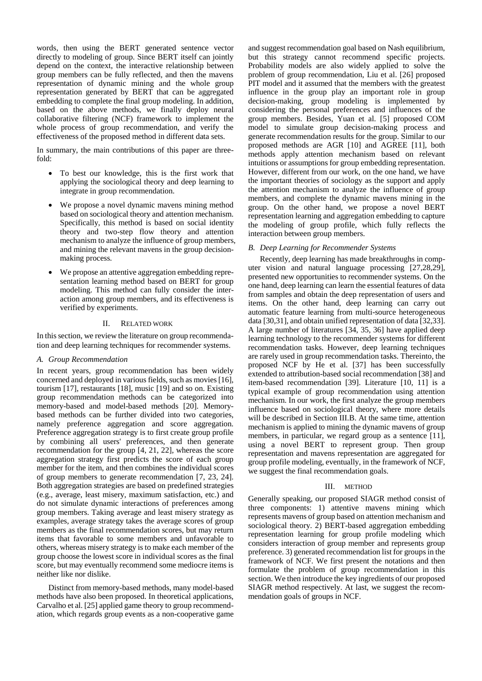words, then using the BERT generated sentence vector directly to modeling of group. Since BERT itself can jointly depend on the context, the interactive relationship between group members can be fully reflected, and then the mavens representation of dynamic mining and the whole group representation generated by BERT that can be aggregated embedding to complete the final group modeling. In addition, based on the above methods, we finally deploy neural collaborative filtering (NCF) framework to implement the whole process of group recommendation, and verify the effectiveness of the proposed method in different data sets.

In summary, the main contributions of this paper are threefold:

- To best our knowledge, this is the first work that applying the sociological theory and deep learning to integrate in group recommendation.
- We propose a novel dynamic mavens mining method based on sociological theory and attention mechanism. Specifically, this method is based on social identity theory and two-step flow theory and attention mechanism to analyze the influence of group members, and mining the relevant mavens in the group decisionmaking process.
- We propose an attentive aggregation embedding representation learning method based on BERT for group modeling. This method can fully consider the interaction among group members, and its effectiveness is verified by experiments.

## II. RELATED WORK

In this section, we review the literature on group recommendation and deep learning techniques for recommender systems.

#### *A. Group Recommendation*

In recent years, group recommendation has been widely concerned and deployed in various fields, such as movies [16], tourism [17], restaurants [18], music [19] and so on. Existing group recommendation methods can be categorized into memory-based and model-based methods [20]. Memorybased methods can be further divided into two categories, namely preference aggregation and score aggregation. Preference aggregation strategy is to first create group profile by combining all users' preferences, and then generate recommendation for the group [4, 21, 22], whereas the score aggregation strategy first predicts the score of each group member for the item, and then combines the individual scores of group members to generate recommendation [7, 23, 24]. Both aggregation strategies are based on predefined strategies (e.g., average, least misery, maximum satisfaction, etc.) and do not simulate dynamic interactions of preferences among group members. Taking average and least misery strategy as examples, average strategy takes the average scores of group members as the final recommendation scores, but may return items that favorable to some members and unfavorable to others, whereas misery strategy is to make each member of the group choose the lowest score in individual scores as the final score, but may eventually recommend some mediocre items is neither like nor dislike.

Distinct from memory-based methods, many model-based methods have also been proposed. In theoretical applications, Carvalho et al. [25] applied game theory to group recommendation, which regards group events as a non-cooperative game

and suggest recommendation goal based on Nash equilibrium, but this strategy cannot recommend specific projects. Probability models are also widely applied to solve the problem of group recommendation, Liu et al. [26] proposed PIT model and it assumed that the members with the greatest influence in the group play an important role in group decision-making, group modeling is implemented by considering the personal preferences and influences of the group members. Besides, Yuan et al. [5] proposed COM model to simulate group decision-making process and generate recommendation results for the group. Similar to our proposed methods are AGR [10] and AGREE [11], both methods apply attention mechanism based on relevant intuitions or assumptions for group embedding representation. However, different from our work, on the one hand, we have the important theories of sociology as the support and apply the attention mechanism to analyze the influence of group members, and complete the dynamic mavens mining in the group. On the other hand, we propose a novel BERT representation learning and aggregation embedding to capture the modeling of group profile, which fully reflects the interaction between group members.

## *B. Deep Learning for Recommender Systems*

Recently, deep learning has made breakthroughs in computer vision and natural language processing [27,28,29], presented new opportunities to recommender systems. On the one hand, deep learning can learn the essential features of data from samples and obtain the deep representation of users and items. On the other hand, deep learning can carry out automatic feature learning from multi-source heterogeneous data [30,31], and obtain unified representation of data [32,33]. A large number of literatures [34, 35, 36] have applied deep learning technology to the recommender systems for different recommendation tasks. However, deep learning techniques are rarely used in group recommendation tasks. Thereinto, the proposed NCF by He et al. [37] has been successfully extended to attribution-based social recommendation [38] and item-based recommendation [39]. Literature [10, 11] is a typical example of group recommendation using attention mechanism. In our work, the first analyze the group members influence based on sociological theory, where more details will be described in Section III.B. At the same time, attention mechanism is applied to mining the dynamic mavens of group members, in particular, we regard group as a sentence [11], using a novel BERT to represent group. Then group representation and mavens representation are aggregated for group profile modeling, eventually, in the framework of NCF, we suggest the final recommendation goals.

## III. METHOD

Generally speaking, our proposed SIAGR method consist of three components: 1) attentive mavens mining which represents mavens of group based on attention mechanism and sociological theory. 2) BERT-based aggregation embedding representation learning for group profile modeling which considers interaction of group member and represents group preference. 3) generated recommendation list for groups in the framework of NCF. We first present the notations and then formulate the problem of group recommendation in this section. We then introduce the key ingredients of our proposed SIAGR method respectively. At last, we suggest the recommendation goals of groups in NCF.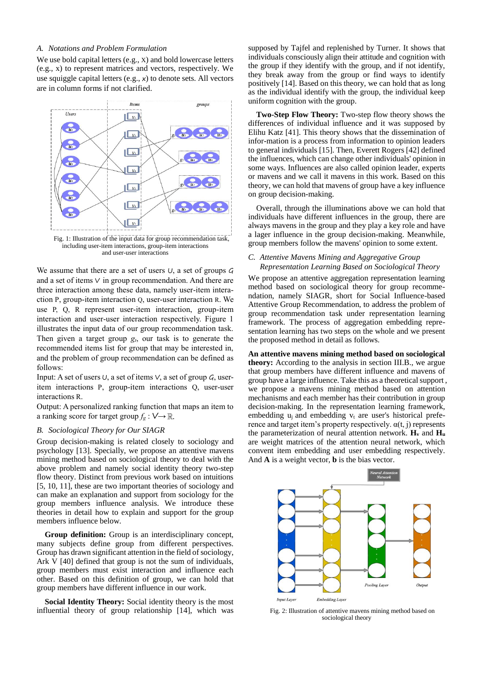# *A. Notations and Problem Formulation*

We use bold capital letters (e.g., X) and bold lowercase letters (e.g., x) to represent matrices and vectors, respectively. We use squiggle capital letters (e.g., x) to denote sets. All vectors are in column forms if not clarified.



including user-item interactions, group-item interactions and user-user interactions

We assume that there are a set of users  $U$ , a set of groups  $G$ and a set of items V in group recommendation. And there are three interaction among these data, namely user-item interaction P, group-item interaction Q, user-user interaction R. We use P, Q, R represent user-item interaction, group-item interaction and user-user interaction respectively. Figure 1 illustrates the input data of our group recommendation task. Then given a target group  $g_t$ , our task is to generate the recommended items list for group that may be interested in, and the problem of group recommendation can be defined as follows:

Input: A set of users  $\cup$ , a set of items  $\vee$ , a set of group  $G$ , useritem interactions P, group-item interactions Q, user-user interactions R.

Output: A personalized ranking function that maps an item to a ranking score for target group  $f_g : V \rightarrow \mathbb{R}$ .

# *B. Sociological Theory for Our SIAGR*

Group decision-making is related closely to sociology and psychology [13]. Specially, we propose an attentive mavens mining method based on sociological theory to deal with the above problem and namely social identity theory two-step flow theory. Distinct from previous work based on intuitions [5, 10, 11], these are two important theories of sociology and can make an explanation and support from sociology for the group members influence analysis. We introduce these theories in detail how to explain and support for the group members influence below.

**Group definition:** Group is an interdisciplinary concept, many subjects define group from different perspectives. Group has drawn significant attention in the field of sociology, Ark V [40] defined that group is not the sum of individuals, group members must exist interaction and influence each other. Based on this definition of group, we can hold that group members have different influence in our work.

**Social Identity Theory:** Social identity theory is the most influential theory of group relationship [14], which was

supposed by Tajfel and replenished by Turner. It shows that individuals consciously align their attitude and cognition with the group if they identify with the group, and if not identify, they break away from the group or find ways to identify positively [14]. Based on this theory, we can hold that as long as the individual identify with the group, the individual keep uniform cognition with the group.

**Two-Step Flow Theory:** Two-step flow theory shows the differences of individual influence and it was supposed by Elihu Katz [41]. This theory shows that the dissemination of infor-mation is a process from information to opinion leaders to general individuals [15]. Then, Everett Rogers [42] defined the influences, which can change other individuals' opinion in some ways. Influences are also called opinion leader, experts or mavens and we call it mavens in this work. Based on this theory, we can hold that mavens of group have a key influence on group decision-making.

Overall, through the illuminations above we can hold that individuals have different influences in the group, there are always mavens in the group and they play a key role and have a lager influence in the group decision-making. Meanwhile, group members follow the mavens' opinion to some extent.

## *C. Attentive Mavens Mining and Aggregative Group Representation Learning Based on Sociological Theory*

We propose an attentive aggregation representation learning method based on sociological theory for group recommendation, namely SIAGR, short for Social Influence-based Attentive Group Recommendation, to address the problem of group recommendation task under representation learning framework. The process of aggregation embedding representation learning has two steps on the whole and we present the proposed method in detail as follows.

**An attentive mavens mining method based on sociological theory:** According to the analysis in section III.B., we argue that group members have different influence and mavens of group have a large influence. Take this as a theoretical support , we propose a mavens mining method based on attention mechanisms and each member has their contribution in group decision-making. In the representation learning framework, embedding  $u_i$  and embedding  $v_t$  are user's historical preference and target item's property respectively.  $α(t, j)$  represents the parameterization of neural attention network.  $H_v$  and  $H_u$ are weight matrices of the attention neural network, which convent item embedding and user embedding respectively. And **A** is a weight vector, **b** is the bias vector.



Fig. 2: Illustration of attentive mavens mining method based on sociological theory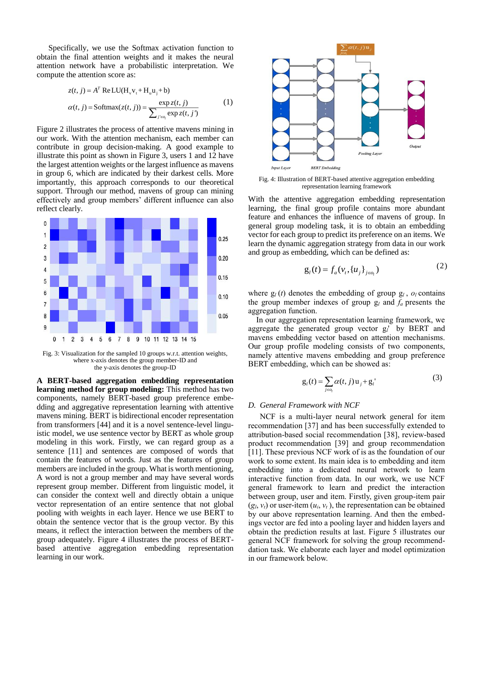Specifically, we use the Softmax activation function to obtain the final attention weights and it makes the neural attention network have a probabilistic interpretation. We compute the attention score as:

$$
z(t, j) = AT ReLU(Hvvt + Huuj + b)
$$
  
\n
$$
\alpha(t, j) = \text{Softmax}(z(t, j)) = \frac{\exp z(t, j)}{\sum_{j' \in o_j} \exp z(t, j')}
$$
\n(1)

Figure 2 illustrates the process of attentive mavens mining in our work. With the attention mechanism, each member can contribute in group decision-making. A good example to illustrate this point as shown in Figure 3, users 1 and 12 have the largest attention weights or the largest influence as mavens in group 6, which are indicated by their darkest cells. More importantly, this approach corresponds to our theoretical support. Through our method, mavens of group can mining effectively and group members' different influence can also reflect clearly.



Fig. 3: Visualization for the sampled 10 groups w.r.t. attention weights, where x-axis denotes the group member-ID and the y-axis denotes the group-ID

**A BERT-based aggregation embedding representation learning method for group modeling:** This method has two components, namely BERT-based group preference embedding and aggregative representation learning with attentive mavens mining. BERT is bidirectional encoder representation from transformers [44] and it is a novel sentence-level linguistic model, we use sentence vector by BERT as whole group modeling in this work. Firstly, we can regard group as a sentence [11] and sentences are composed of words that contain the features of words. Just as the features of group members are included in the group. What is worth mentioning, A word is not a group member and may have several words represent group member. Different from linguistic model, it can consider the context well and directly obtain a unique vector representation of an entire sentence that not global pooling with weights in each layer. Hence we use BERT to obtain the sentence vector that is the group vector. By this means, it reflect the interaction between the members of the group adequately. Figure 4 illustrates the process of BERTbased attentive aggregation embedding representation learning in our work.



Fig. 4: Illustration of BERT-based attentive aggregation embedding representation learning framework

With the attentive aggregation embedding representation learning, the final group profile contains more abundant feature and enhances the influence of mavens of group. In general group modeling task, it is to obtain an embedding vector for each group to predict its preference on an items. We learn the dynamic aggregation strategy from data in our work and group as embedding, which can be defined as:

$$
g_{i}(t) = f_{a}(v_{i}, \{u_{j}\}_{j \in o_{i}})
$$
 (2)

where  $g_l(t)$  denotes the embedding of group  $g_l$ ,  $o_l$  contains the group member indexes of group g*<sup>l</sup>* and *fa* presents the aggregation function.

In our aggregation representation learning framework, we aggregate the generated group vector g*l*'by BERT and mavens embedding vector based on attention mechanisms. Our group profile modeling consists of two components, namely attentive mavens embedding and group preference BERT embedding, which can be showed as:

$$
g_l(t) = \sum_{j \in o_l} \alpha(t, j) u_j + g_l' \tag{3}
$$

#### *D. General Framework with NCF*

NCF is a multi-layer neural network general for item recommendation [37] and has been successfully extended to attribution-based social recommendation [38], review-based product recommendation [39] and group recommendation [11]. These previous NCF work of is as the foundation of our work to some extent. Its main idea is to embedding and item embedding into a dedicated neural network to learn interactive function from data. In our work, we use NCF general framework to learn and predict the interaction between group, user and item. Firstly, given group-item pair  $(g_l, v_t)$  or user-item  $(u_i, v_t)$ , the representation can be obtained by our above representation learning. And then the embedings vector are fed into a pooling layer and hidden layers and obtain the prediction results at last. Figure 5 illustrates our general NCF framework for solving the group recommenddation task. We elaborate each layer and model optimization in our framework below.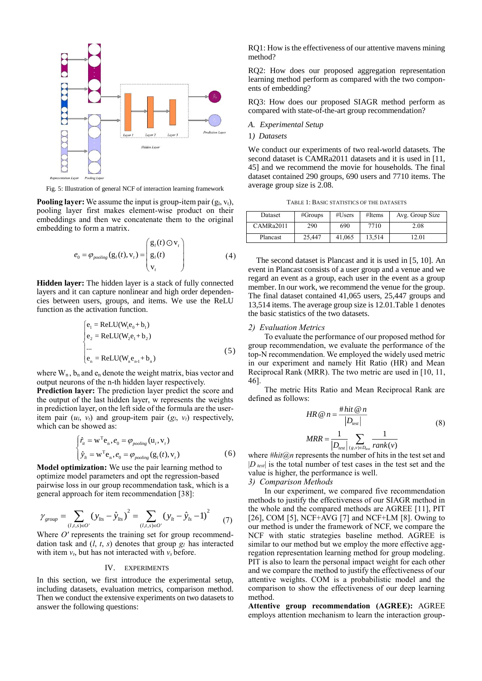

Fig. 5: Illustration of general NCF of interaction learning framework

**Pooling layer:** We assume the input is group-item pair  $(g_1, v_1)$ , pooling layer first makes element-wise product on their embeddings and then we concatenate them to the original embedding to form a matrix.

$$
e_0 = \varphi_{pooling}(\mathbf{g}_i(t), \mathbf{v}_i) = \begin{pmatrix} \mathbf{g}_i(t) \odot \mathbf{v}_i \\ \mathbf{g}_i(t) \\ \mathbf{v}_i \end{pmatrix}
$$
(4)

**Hidden layer:** The hidden layer is a stack of fully connected layers and it can capture nonlinear and high order dependencies between users, groups, and items. We use the ReLU function as the activation function.

$$
\begin{cases}\ne_1 = \text{ReLU}(W_1e_0 + b_1) \\
e_2 = \text{ReLU}(W_2e_1 + b_2) \\
\dots \\
e_n = \text{ReLU}(W_ne_{n-1} + b_n)\n\end{cases}
$$
\n(5)

where  $W_n$ ,  $b_n$  and  $e_n$  denote the weight matrix, bias vector and output neurons of the n-th hidden layer respectively.

Prediction layer: The prediction layer predict the score and the output of the last hidden layer, w represents the weights in prediction layer, on the left side of the formula are the useritem pair  $(u_l, v_l)$  and group-item pair  $(g_l, v_l)$  respectively, which can be showed as:

$$
\begin{cases} \hat{r}_{it} = \mathbf{w}^{\mathrm{T}} \mathbf{e}_{n}, e_{0} = \varphi_{pooling}(\mathbf{u}_{i}, \mathbf{v}_{i}) \\ \hat{y}_{it} = \mathbf{w}^{\mathrm{T}} \mathbf{e}_{n}, e_{0} = \varphi_{pooling}(\mathbf{g}_{i}(t), \mathbf{v}_{i}) \end{cases}
$$
(6)

**Model optimization:** We use the pair learning method to optimize model parameters and opt the regression-based pairwise loss in our group recommendation task, which is a general approach for item recommendation [38]:

$$
\gamma_{\text{group}} = \sum_{(l, t, s) \in O'} (y_{\text{hs}} - \hat{y}_{\text{hs}})^2 = \sum_{(l, t, s) \in O'} (y_{\text{lt}} - \hat{y}_{\text{hs}} - 1)^2 \tag{7}
$$

Where *O'* represents the training set for group recommenddation task and  $(l, t, s)$  denotes that group  $g_l$  has interacted with item  $v_t$ , but has not interacted with  $v_s$  before.

## IV. EXPERIMENTS

In this section, we first introduce the experimental setup, including datasets, evaluation metrics, comparison method. Then we conduct the extensive experiments on two datasets to answer the following questions:

RQ1: How is the effectiveness of our attentive mavens mining method?

RQ2: How does our proposed aggregation representation learning method perform as compared with the two components of embedding?

RQ3: How does our proposed SIAGR method perform as compared with state-of-the-art group recommendation?

#### *A. Experimental Setup*

# 1*) Datasets*

We conduct our experiments of two real-world datasets. The second dataset is CAMRa2011 datasets and it is used in [11, 45] and we recommend the movie for households. The final dataset contained 290 groups, 690 users and 7710 items. The average group size is 2.08.

TABLE 1: BASIC STATISTICS OF THE DATASETS

| Dataset   | #Groups | #Users | #Items | Avg. Group Size |
|-----------|---------|--------|--------|-----------------|
| CAMRa2011 | 290     | 690    | 7710   | 2.08            |
| Plancast  | 25.447  | 41.065 | 13.514 | 12.01           |

The second dataset is Plancast and it is used in [5, 10]. An event in Plancast consists of a user group and a venue and we regard an event as a group, each user in the event as a group member. In our work, we recommend the venue for the group. The final dataset contained 41,065 users, 25,447 groups and 13,514 items. The average group size is 12.01.Table 1 denotes the basic statistics of the two datasets.

#### *2) Evaluation Metrics*

To evaluate the performance of our proposed method for group recommendation, we evaluate the performance of the top-N recommendation. We employed the widely used metric in our experiment and namely Hit Ratio (HR) and Mean Reciprocal Rank (MRR). The two metric are used in [10, 11, 46].

The metric Hits Ratio and Mean Reciprocal Rank are defined as follows:

$$
HR @ n = \frac{\# hit @ n}{|D_{test}|}
$$
  

$$
MRR = \frac{1}{|D_{test}|} \sum_{(g,v)\in D_{test}} \frac{1}{rank(v)}
$$
 (8)

where *#hit@n* represents the number of hits in the test set and |*D test*| is the total number of test cases in the test set and the value is higher, the performance is well.

*3) Comparison Methods*

In our experiment, we compared five recommendation methods to justify the effectiveness of our SIAGR method in the whole and the compared methods are AGREE [11], PIT [26], COM [5], NCF+AVG [7] and NCF+LM [8]. Owing to our method is under the framework of NCF, we compare the NCF with static strategies baseline method. AGREE is similar to our method but we employ the more effective aggregation representation learning method for group modeling. PIT is also to learn the personal impact weight for each other and we compare the method to justify the effectiveness of our attentive weights. COM is a probabilistic model and the comparison to show the effectiveness of our deep learning method.

**Attentive group recommendation (AGREE):** AGREE employs attention mechanism to learn the interaction group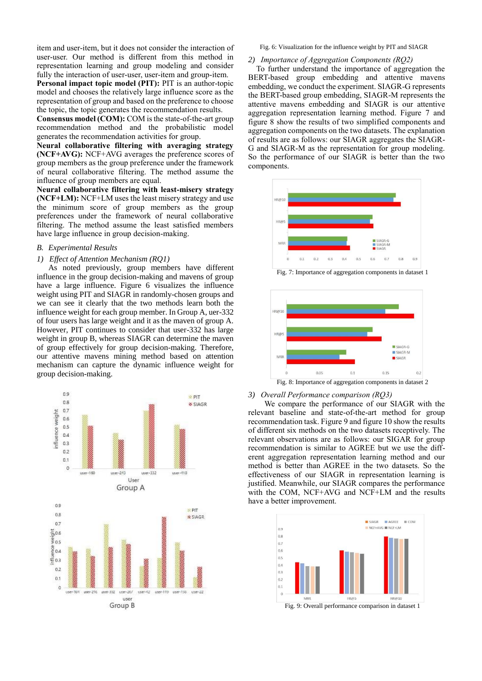item and user-item, but it does not consider the interaction of user-user. Our method is different from this method in representation learning and group modeling and consider fully the interaction of user-user, user-item and group-item.

**Personal impact topic model (PIT):** PIT is an author-topic model and chooses the relatively large influence score as the representation of group and based on the preference to choose the topic, the topic generates the recommendation results.

**Consensus model (COM):** COM is the state-of-the-art group recommendation method and the probabilistic model generates the recommendation activities for group.

**Neural collaborative filtering with averaging strategy (NCF+AVG):** NCF+AVG averages the preference scores of group members as the group preference under the framework of neural collaborative filtering. The method assume the influence of group members are equal.

**Neural collaborative filtering with least-misery strategy (NCF+LM):** NCF+LM uses the least misery strategy and use the minimum score of group members as the group preferences under the framework of neural collaborative filtering. The method assume the least satisfied members have large influence in group decision-making.

# *B. Experimental Results*

### *1) Effect of Attention Mechanism (RQ1)*

As noted previously, group members have different influence in the group decision-making and mavens of group have a large influence. Figure 6 visualizes the influence weight using PIT and SIAGR in randomly-chosen groups and we can see it clearly that the two methods learn both the influence weight for each group member. In Group A, uer-332 of four users has large weight and it as the maven of group A. However, PIT continues to consider that user-332 has large weight in group B, whereas SIAGR can determine the maven of group effectively for group decision-making. Therefore, our attentive mavens mining method based on attention mechanism can capture the dynamic influence weight for group decision-making.



Fig. 6: Visualization for the influence weight by PIT and SIAGR

## *2) Importance of Aggregation Components (RQ2)*

To further understand the importance of aggregation the BERT-based group embedding and attentive mavens embedding, we conduct the experiment. SIAGR-G represents the BERT-based group embedding, SIAGR-M represents the attentive mavens embedding and SIAGR is our attentive aggregation representation learning method. Figure 7 and figure 8 show the results of two simplified components and aggregation components on the two datasets. The explanation of results are as follows: our SIAGR aggregates the SIAGR-G and SIAGR-M as the representation for group modeling. So the performance of our SIAGR is better than the two components.



Fig. 7: Importance of aggregation components in dataset 1



# *3) Overall Performance comparison (RQ3)*

We compare the performance of our SIAGR with the relevant baseline and state-of-the-art method for group recommendation task. Figure 9 and figure 10 show the results of different six methods on the two datasets receptively. The relevant observations are as follows: our SIGAR for group recommendation is similar to AGREE but we use the different aggregation representation learning method and our method is better than AGREE in the two datasets. So the effectiveness of our SIAGR in representation learning is justified. Meanwhile, our SIAGR compares the performance with the COM, NCF+AVG and NCF+LM and the results have a better improvement.

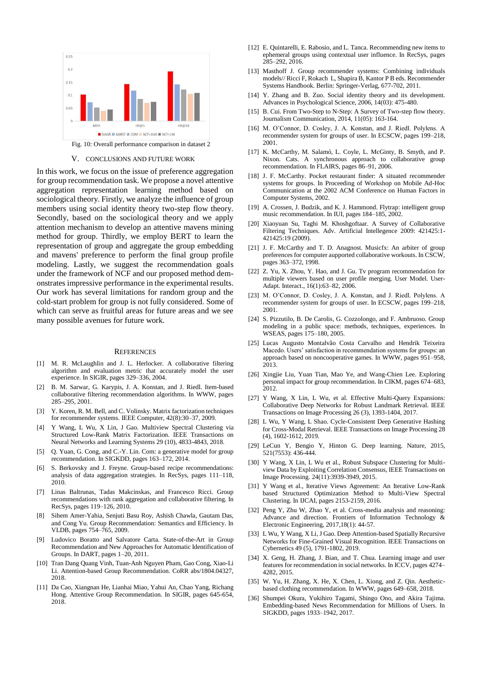

Fig. 10: Overall performance comparison in dataset 2

#### V. CONCLUSIONS AND FUTURE WORK

In this work, we focus on the issue of preference aggregation for group recommendation task. We propose a novel attentive aggregation representation learning method based on sociological theory. Firstly, we analyze the influence of group members using social identity theory two-step flow theory. Secondly, based on the sociological theory and we apply attention mechanism to develop an attentive mavens mining method for group. Thirdly, we employ BERT to learn the representation of group and aggregate the group embedding and mavens' preference to perform the final group profile modeling. Lastly, we suggest the recommendation goals under the framework of NCF and our proposed method demonstrates impressive performance in the experimental results. Our work has several limitations for random group and the cold-start problem for group is not fully considered. Some of which can serve as fruitful areas for future areas and we see many possible avenues for future work.

#### **REFERENCES**

- [1] M. R. McLaughlin and J. L. Herlocker. A collaborative filtering algorithm and evaluation metric that accurately model the user experience. In SIGIR, pages 329–336, 2004.
- [2] B. M. Sarwar, G. Karypis, J. A. Konstan, and J. Riedl. Item-based collaborative filtering recommendation algorithms. In WWW, pages 285–295, 2001.
- [3] Y. Koren, R. M. Bell, and C. Volinsky. Matrix factorization techniques for recommender systems. IEEE Computer, 42(8):30–37, 2009.
- [4] Y Wang, L Wu, X Lin, J Gao. Multiview Spectral Clustering via Structured Low-Rank Matrix Factorization. IEEE Transactions on Neural Networks and Learning Systems 29 (10), 4833-4843, 2018.
- [5] Q. Yuan, G. Cong, and C.-Y. Lin. Com: a generative model for group recommendation. In SIGKDD, pages 163–172, 2014.
- [6] S. Berkovsky and J. Freyne. Group-based recipe recommendations: analysis of data aggregation strategies. In RecSys, pages 111–118, 2010.
- [7] Linas Baltrunas, Tadas Makcinskas, and Francesco Ricci. Group recommendations with rank aggregation and collaborative filtering. In RecSys, pages 119–126, 2010.
- [8] Sihem Amer-Yahia, Senjuti Basu Roy, Ashish Chawla, Gautam Das, and Cong Yu. Group Recommendation: Semantics and Efficiency. In VLDB, pages 754–765, 2009.
- Ludovico Boratto and Salvatore Carta. State-of-the-Art in Group Recommendation and New Approaches for Automatic Identification of Groups. In DART, pages 1–20, 2011.
- [10] Tran Dang Quang Vinh, Tuan-Anh Nguyen Pham, Gao Cong, Xiao-Li Li. Attention-based Group Recommendation. CoRR abs/1804.04327, 2018.
- [11] Da Cao, Xiangnan He, Lianhai Miao, Yahui An, Chao Yang, Richang Hong. Attentive Group Recommendation. In SIGIR, pages 645-654, 2018.
- [12] E. Quintarelli, E. Rabosio, and L. Tanca. Recommending new items to ephemeral groups using contextual user influence. In RecSys, pages 285–292, 2016.
- [13] Masthoff J. Group recommender systems: Combining individuals models// Ricci F, Rokach L, Shapira B, Kantor P B eds. Recommender Systems Handbook. Berlin: Springer-Verlag, 677-702, 2011.
- [14] Y. Zhang and B. Zuo. Social identity theory and its development. Advances in Psychological Science, 2006, 14(03): 475-480.
- [15] B. Cui. From Two-Step to N-Step: A Survey of Two-step flow theory. Journalism Communication, 2014, 11(05): 163-164.
- [16] M. O'Connor, D. Cosley, J. A. Konstan, and J. Riedl. Polylens. A recommender system for groups of user. In ECSCW, pages 199–218, 2001.
- [17] K. McCarthy, M. Salamó, L. Coyle, L. McGinty, B. Smyth, and P. Nixon. Cats. A synchronous approach to collaborative group recommendation. In FLAIRS, pages 86–91, 2006.
- [18] J. F. McCarthy. Pocket restaurant finder: A situated recommender systems for groups. In Proceeding of Workshop on Mobile Ad-Hoc Communication at the 2002 ACM Conference on Human Factors in Computer Systems, 2002.
- [19] A. Crossen, J. Budzik, and K. J. Hammond. Flytrap: intelligent group music recommendation. In IUI, pages 184–185, 2002.
- [20] Xiaoyuan Su, Taghi M. Khoshgoftaar. A Survey of Collaborative Filtering Techniques. Adv. Artificial Intellegence 2009: 421425:1- 421425:19 (2009).
- [21] J. F. McCarthy and T. D. Anagnost. Musicfx: An arbiter of group preferences for computer aupported collaborative workouts. In CSCW, pages 363–372, 1998.
- [22] Z. Yu, X. Zhou, Y. Hao, and J. Gu. Tv program recommendation for multiple viewers based on user profile merging. User Model. User-Adapt. Interact., 16(1):63–82, 2006.
- [23] M. O'Connor, D. Cosley, J. A. Konstan, and J. Riedl. Polylens. A recommender system for groups of user. In ECSCW, pages 199–218, 2001.
- [24] S. Pizzutilo, B. De Carolis, G. Cozzolongo, and F. Ambruoso. Group modeling in a public space: methods, techniques, experiences. In WSEAS, pages 175–180, 2005.
- [25] Lucas Augusto Montalvão Costa Carvalho and Hendrik Teixeira Macedo. Users' satisfaction in recommendation systems for groups: an approach based on noncooperative games. In WWW, pages 951–958, 2013.
- [26] Xingjie Liu, Yuan Tian, Mao Ye, and Wang-Chien Lee. Exploring personal impact for group recommendation. In CIKM, pages 674–683, 2012.
- [27] Y Wang, X Lin, L Wu, et al. Effective Multi-Query Expansions: Collaborative Deep Networks for Robust Landmark Retrieval. IEEE Transactions on Image Processing 26 (3), 1393-1404, 2017.
- [28] L Wu, Y Wang, L Shao. Cycle-Consistent Deep Generative Hashing for Cross-Modal Retrieval. IEEE Transactions on Image Processing 28 (4), 1602-1612, 2019.
- [29] LeCun Y, Bengio Y, Hinton G. Deep learning. Nature, 2015, 521(7553): 436-444.
- [30] Y Wang, X Lin, L Wu et al., Robust Subspace Clustering for Multiview Data by Exploiting Correlation Consensus, IEEE Transactions on Image Processing. 24(11):3939-3949, 2015.
- [31] Y Wang et al., Iterative Views Agreement: An Iterative Low-Rank based Structured Optimization Method to Multi-View Spectral Clustering. In IJCAI, pages 2153-2159, 2016.
- [32] Peng Y, Zhu W, Zhao Y, et al. Cross-media analysis and reasoning: Advance and direction. Frontiers of Information Technology & Electronic Engineering, 2017,18(1): 44-57.
- [33] L Wu, Y Wang, X Li, J Gao. Deep Attention-based Spatially Recursive Networks for Fine-Grained Visual Recognition. IEEE Transactions on Cybernetics 49 (5), 1791-1802, 2019.
- [34] X. Geng, H. Zhang, J. Bian, and T. Chua. Learning image and user features for recommendation in social networks. In ICCV, pages 4274– 4282, 2015.
- [35] W. Yu, H. Zhang, X. He, X. Chen, L. Xiong, and Z. Qin. Aestheticbased clothing recommendation. In WWW, pages 649–658, 2018.
- [36] Shumpei Okura, Yukihiro Tagami, Shingo Ono, and Akira Tajima. Embedding-based News Recommendation for Millions of Users. In SIGKDD, pages 1933–1942, 2017.